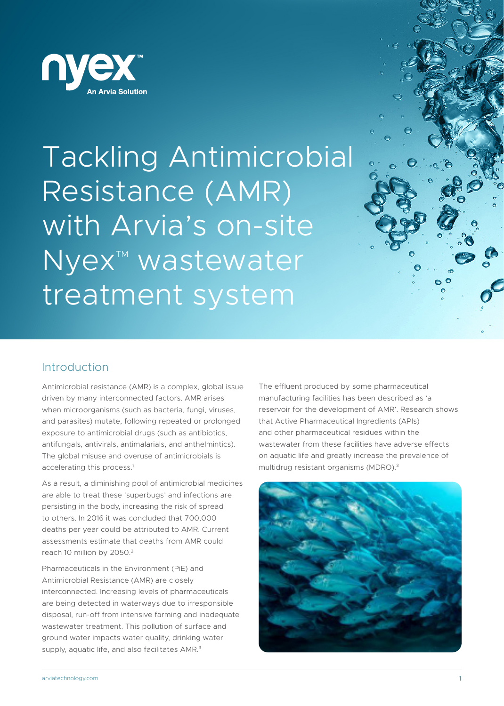

Tackling Antimicrobial Resistance (AMR) with Arvia's on-site Nyex<sup>™</sup> wastewater treatment system

## Introduction

Antimicrobial resistance (AMR) is a complex, global issue driven by many interconnected factors. AMR arises when microorganisms (such as bacteria, fungi, viruses, and parasites) mutate, following repeated or prolonged exposure to antimicrobial drugs (such as antibiotics, antifungals, antivirals, antimalarials, and anthelmintics). The global misuse and overuse of antimicrobials is accelerating this process.<sup>1</sup>

As a result, a diminishing pool of antimicrobial medicines are able to treat these 'superbugs' and infections are persisting in the body, increasing the risk of spread to others. In 2016 it was concluded that 700,000 deaths per year could be attributed to AMR. Current assessments estimate that deaths from AMR could reach 10 million by 2050.2

Pharmaceuticals in the Environment (PiE) and Antimicrobial Resistance (AMR) are closely interconnected. Increasing levels of pharmaceuticals are being detected in waterways due to irresponsible disposal, run-off from intensive farming and inadequate wastewater treatment. This pollution of surface and ground water impacts water quality, drinking water supply, aquatic life, and also facilitates AMR.<sup>3</sup>

The effluent produced by some pharmaceutical manufacturing facilities has been described as 'a reservoir for the development of AMR'. Research shows that Active Pharmaceutical Ingredients (APIs) and other pharmaceutical residues within the wastewater from these facilities have adverse effects on aquatic life and greatly increase the prevalence of multidrug resistant organisms (MDRO).3

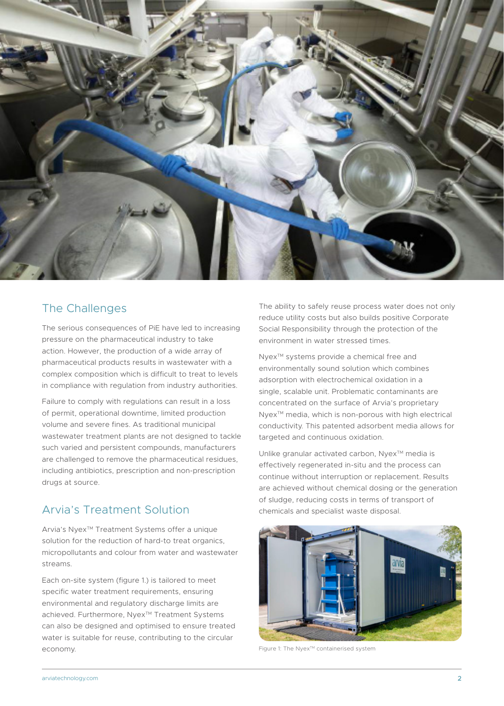

## The Challenges

The serious consequences of PiE have led to increasing pressure on the pharmaceutical industry to take action. However, the production of a wide array of pharmaceutical products results in wastewater with a complex composition which is difficult to treat to levels in compliance with regulation from industry authorities.

Failure to comply with regulations can result in a loss of permit, operational downtime, limited production volume and severe fines. As traditional municipal wastewater treatment plants are not designed to tackle such varied and persistent compounds, manufacturers are challenged to remove the pharmaceutical residues, including antibiotics, prescription and non-prescription drugs at source.

# Arvia's Treatment Solution

Arvia's Nyex<sup>™</sup> Treatment Systems offer a unique solution for the reduction of hard-to treat organics, micropollutants and colour from water and wastewater streams.

Each on-site system (figure 1.) is tailored to meet specific water treatment requirements, ensuring environmental and regulatory discharge limits are achieved. Furthermore, Nyex™ Treatment Systems can also be designed and optimised to ensure treated water is suitable for reuse, contributing to the circular economy.

The ability to safely reuse process water does not only reduce utility costs but also builds positive Corporate Social Responsibility through the protection of the environment in water stressed times.

Nyex<sup>™</sup> systems provide a chemical free and environmentally sound solution which combines adsorption with electrochemical oxidation in a single, scalable unit. Problematic contaminants are concentrated on the surface of Arvia's proprietary Nyex<sup>™</sup> media, which is non-porous with high electrical conductivity. This patented adsorbent media allows for targeted and continuous oxidation.

Unlike granular activated carbon, Nyex™ media is effectively regenerated in-situ and the process can continue without interruption or replacement. Results are achieved without chemical dosing or the generation of sludge, reducing costs in terms of transport of chemicals and specialist waste disposal.



Figure 1: The Nyex™ containerised system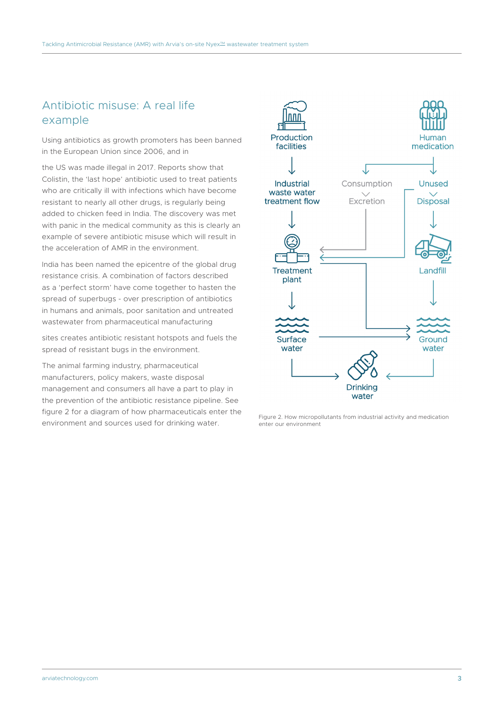# Antibiotic misuse: A real life example

Using antibiotics as growth promoters has been banned in the European Union since 2006, and in

the US was made illegal in 2017. Reports show that Colistin, the 'last hope' antibiotic used to treat patients who are critically ill with infections which have become resistant to nearly all other drugs, is regularly being added to chicken feed in India. The discovery was met with panic in the medical community as this is clearly an example of severe antibiotic misuse which will result in the acceleration of AMR in the environment.

India has been named the epicentre of the global drug resistance crisis. A combination of factors described as a 'perfect storm' have come together to hasten the spread of superbugs - over prescription of antibiotics in humans and animals, poor sanitation and untreated wastewater from pharmaceutical manufacturing

sites creates antibiotic resistant hotspots and fuels the spread of resistant bugs in the environment.

The animal farming industry, pharmaceutical manufacturers, policy makers, waste disposal management and consumers all have a part to play in the prevention of the antibiotic resistance pipeline. See figure 2 for a diagram of how pharmaceuticals enter the environment and sources used for drinking water.



Figure 2. How micropollutants from industrial activity and medication enter our environment